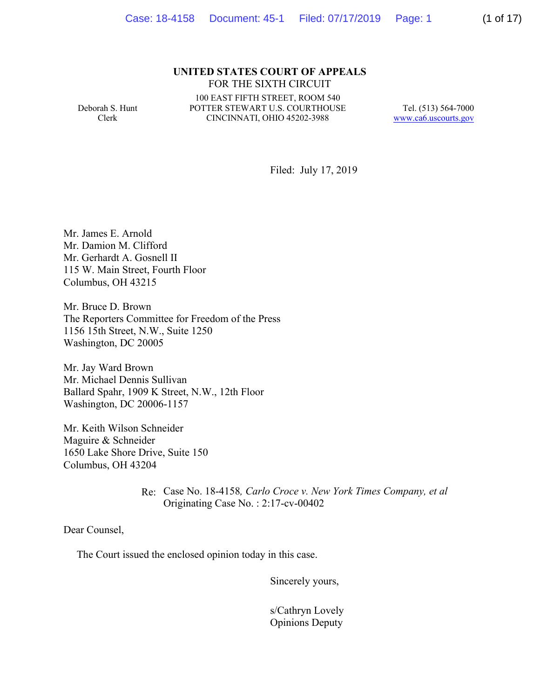#### **UNITED STATES COURT OF APPEALS** FOR THE SIXTH CIRCUIT

Deborah S. Hunt Clerk

100 EAST FIFTH STREET, ROOM 540 POTTER STEWART U.S. COURTHOUSE CINCINNATI, OHIO 45202-3988

Tel. (513) 564-7000 www.ca6.uscourts.gov

Filed: July 17, 2019

Mr. James E. Arnold Mr. Damion M. Clifford Mr. Gerhardt A. Gosnell II 115 W. Main Street, Fourth Floor Columbus, OH 43215

Mr. Bruce D. Brown The Reporters Committee for Freedom of the Press 1156 15th Street, N.W., Suite 1250 Washington, DC 20005

Mr. Jay Ward Brown Mr. Michael Dennis Sullivan Ballard Spahr, 1909 K Street, N.W., 12th Floor Washington, DC 20006-1157

Mr. Keith Wilson Schneider Maguire & Schneider 1650 Lake Shore Drive, Suite 150 Columbus, OH 43204

> Re: Case No. 18-4158*, Carlo Croce v. New York Times Company, et al* Originating Case No. : 2:17-cv-00402

Dear Counsel,

The Court issued the enclosed opinion today in this case.

Sincerely yours,

 s/Cathryn Lovely Opinions Deputy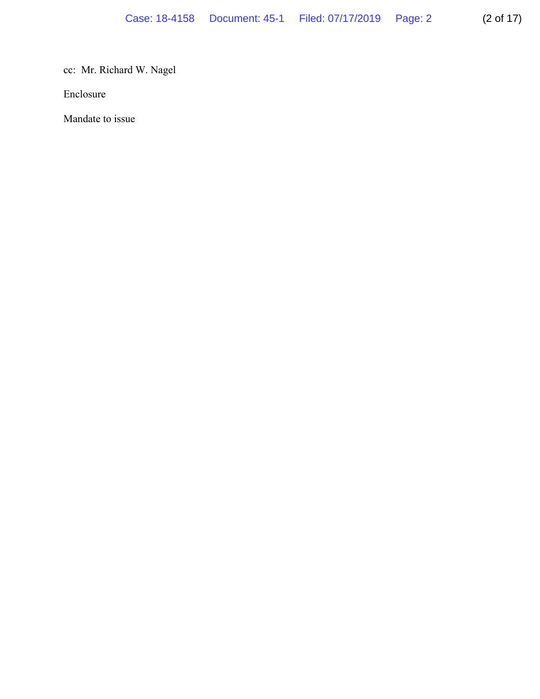cc: Mr. Richard W. Nagel

Enclosure

Mandate to issue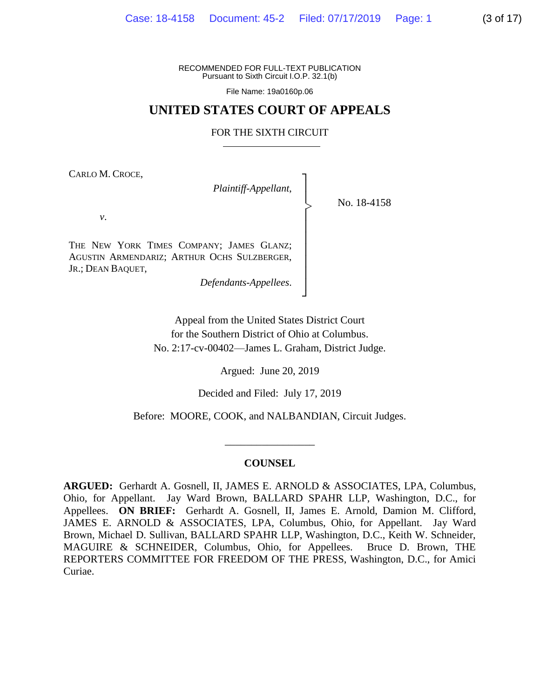RECOMMENDED FOR FULL-TEXT PUBLICATION Pursuant to Sixth Circuit I.O.P. 32.1(b)

File Name: 19a0160p.06

## **UNITED STATES COURT OF APPEALS**

#### FOR THE SIXTH CIRCUIT

┐ │ │ │ │ │ │ │ │ │ ┘

|<br>|<br>|

CARLO M. CROCE,

*Plaintiff-Appellant*,

No. 18-4158

*v*.

THE NEW YORK TIMES COMPANY; JAMES GLANZ; AGUSTIN ARMENDARIZ; ARTHUR OCHS SULZBERGER, JR.; DEAN BAQUET,

*Defendants-Appellees*.

Appeal from the United States District Court for the Southern District of Ohio at Columbus. No. 2:17-cv-00402—James L. Graham, District Judge.

Argued: June 20, 2019

Decided and Filed: July 17, 2019

Before: MOORE, COOK, and NALBANDIAN, Circuit Judges.

## **COUNSEL**

\_\_\_\_\_\_\_\_\_\_\_\_\_\_\_\_\_

**ARGUED:** Gerhardt A. Gosnell, II, JAMES E. ARNOLD & ASSOCIATES, LPA, Columbus, Ohio, for Appellant. Jay Ward Brown, BALLARD SPAHR LLP, Washington, D.C., for Appellees. **ON BRIEF:** Gerhardt A. Gosnell, II, James E. Arnold, Damion M. Clifford, JAMES E. ARNOLD & ASSOCIATES, LPA, Columbus, Ohio, for Appellant. Jay Ward Brown, Michael D. Sullivan, BALLARD SPAHR LLP, Washington, D.C., Keith W. Schneider, MAGUIRE & SCHNEIDER, Columbus, Ohio, for Appellees. Bruce D. Brown, THE REPORTERS COMMITTEE FOR FREEDOM OF THE PRESS, Washington, D.C., for Amici Curiae.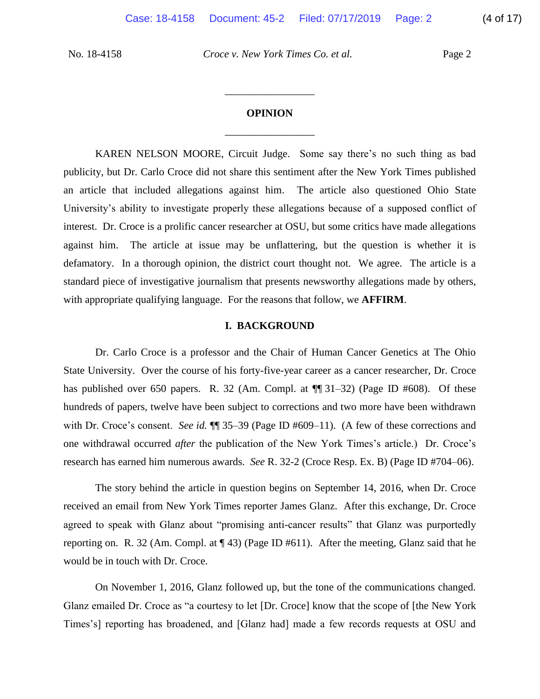## **OPINION** \_\_\_\_\_\_\_\_\_\_\_\_\_\_\_\_\_

\_\_\_\_\_\_\_\_\_\_\_\_\_\_\_\_\_

KAREN NELSON MOORE, Circuit Judge. Some say there's no such thing as bad publicity, but Dr. Carlo Croce did not share this sentiment after the New York Times published an article that included allegations against him. The article also questioned Ohio State University's ability to investigate properly these allegations because of a supposed conflict of interest. Dr. Croce is a prolific cancer researcher at OSU, but some critics have made allegations against him. The article at issue may be unflattering, but the question is whether it is defamatory. In a thorough opinion, the district court thought not. We agree. The article is a standard piece of investigative journalism that presents newsworthy allegations made by others, with appropriate qualifying language. For the reasons that follow, we **AFFIRM**.

#### **I. BACKGROUND**

Dr. Carlo Croce is a professor and the Chair of Human Cancer Genetics at The Ohio State University. Over the course of his forty-five-year career as a cancer researcher, Dr. Croce has published over 650 papers. R. 32 (Am. Compl. at  $\P$  31–32) (Page ID #608). Of these hundreds of papers, twelve have been subject to corrections and two more have been withdrawn with Dr. Croce's consent. *See id.*  $\P$  35–39 (Page ID #609–11). (A few of these corrections and one withdrawal occurred *after* the publication of the New York Times's article.) Dr. Croce's research has earned him numerous awards. *See* R. 32-2 (Croce Resp. Ex. B) (Page ID #704–06).

The story behind the article in question begins on September 14, 2016, when Dr. Croce received an email from New York Times reporter James Glanz. After this exchange, Dr. Croce agreed to speak with Glanz about "promising anti-cancer results" that Glanz was purportedly reporting on. R. 32 (Am. Compl. at ¶ 43) (Page ID #611). After the meeting, Glanz said that he would be in touch with Dr. Croce.

On November 1, 2016, Glanz followed up, but the tone of the communications changed. Glanz emailed Dr. Croce as "a courtesy to let [Dr. Croce] know that the scope of [the New York Times's] reporting has broadened, and [Glanz had] made a few records requests at OSU and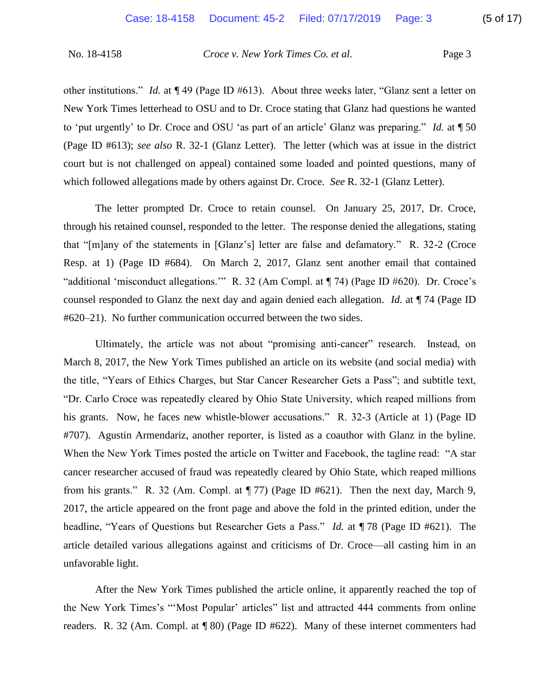other institutions." *Id.* at ¶ 49 (Page ID #613). About three weeks later, "Glanz sent a letter on New York Times letterhead to OSU and to Dr. Croce stating that Glanz had questions he wanted to 'put urgently' to Dr. Croce and OSU 'as part of an article' Glanz was preparing." *Id.* at ¶ 50 (Page ID #613); *see also* R. 32-1 (Glanz Letter). The letter (which was at issue in the district court but is not challenged on appeal) contained some loaded and pointed questions, many of which followed allegations made by others against Dr. Croce. *See* R. 32-1 (Glanz Letter).

The letter prompted Dr. Croce to retain counsel. On January 25, 2017, Dr. Croce, through his retained counsel, responded to the letter. The response denied the allegations, stating that "[m]any of the statements in [Glanz's] letter are false and defamatory." R. 32-2 (Croce Resp. at 1) (Page ID #684). On March 2, 2017, Glanz sent another email that contained "additional 'misconduct allegations.'" R. 32 (Am Compl. at ¶ 74) (Page ID #620). Dr. Croce's counsel responded to Glanz the next day and again denied each allegation. *Id.* at ¶ 74 (Page ID #620–21). No further communication occurred between the two sides.

Ultimately, the article was not about "promising anti-cancer" research. Instead, on March 8, 2017, the New York Times published an article on its website (and social media) with the title, "Years of Ethics Charges, but Star Cancer Researcher Gets a Pass"; and subtitle text, "Dr. Carlo Croce was repeatedly cleared by Ohio State University, which reaped millions from his grants. Now, he faces new whistle-blower accusations." R. 32-3 (Article at 1) (Page ID #707). Agustin Armendariz, another reporter, is listed as a coauthor with Glanz in the byline. When the New York Times posted the article on Twitter and Facebook, the tagline read: "A star cancer researcher accused of fraud was repeatedly cleared by Ohio State, which reaped millions from his grants." R. 32 (Am. Compl. at ¶ 77) (Page ID #621). Then the next day, March 9, 2017, the article appeared on the front page and above the fold in the printed edition, under the headline, "Years of Questions but Researcher Gets a Pass." *Id.* at ¶ 78 (Page ID #621). The article detailed various allegations against and criticisms of Dr. Croce—all casting him in an unfavorable light.

After the New York Times published the article online, it apparently reached the top of the New York Times's "'Most Popular' articles" list and attracted 444 comments from online readers. R. 32 (Am. Compl. at ¶ 80) (Page ID #622). Many of these internet commenters had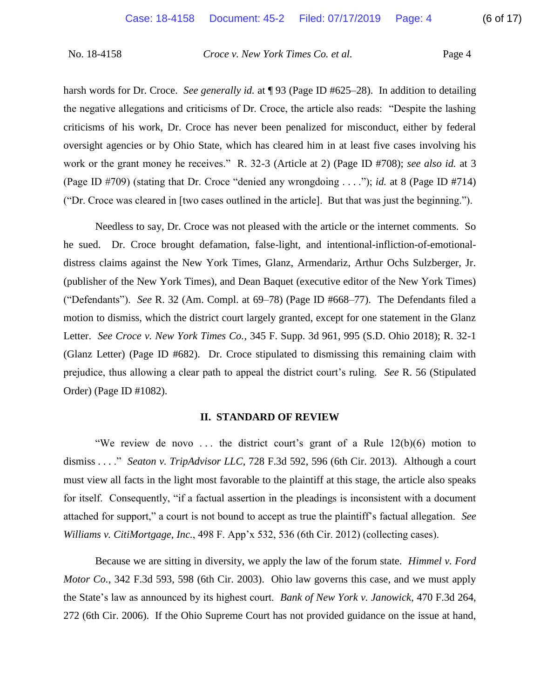harsh words for Dr. Croce. *See generally id.* at  $\P$  93 (Page ID #625–28). In addition to detailing the negative allegations and criticisms of Dr. Croce, the article also reads: "Despite the lashing criticisms of his work, Dr. Croce has never been penalized for misconduct, either by federal oversight agencies or by Ohio State, which has cleared him in at least five cases involving his work or the grant money he receives." R. 32-3 (Article at 2) (Page ID #708); *see also id.* at 3 (Page ID #709) (stating that Dr. Croce "denied any wrongdoing . . . ."); *id.* at 8 (Page ID #714) ("Dr. Croce was cleared in [two cases outlined in the article]. But that was just the beginning.").

Needless to say, Dr. Croce was not pleased with the article or the internet comments. So he sued. Dr. Croce brought defamation, false-light, and intentional-infliction-of-emotionaldistress claims against the New York Times, Glanz, Armendariz, Arthur Ochs Sulzberger, Jr. (publisher of the New York Times), and Dean Baquet (executive editor of the New York Times) ("Defendants"). *See* R. 32 (Am. Compl. at 69–78) (Page ID #668–77). The Defendants filed a motion to dismiss, which the district court largely granted, except for one statement in the Glanz Letter. *See Croce v. New York Times Co.*, 345 F. Supp. 3d 961, 995 (S.D. Ohio 2018); R. 32-1 (Glanz Letter) (Page ID #682). Dr. Croce stipulated to dismissing this remaining claim with prejudice, thus allowing a clear path to appeal the district court's ruling. *See* R. 56 (Stipulated Order) (Page ID #1082).

### **II. STANDARD OF REVIEW**

"We review de novo ... the district court's grant of a Rule  $12(b)(6)$  motion to dismiss . . . ." *Seaton v. TripAdvisor LLC*, 728 F.3d 592, 596 (6th Cir. 2013). Although a court must view all facts in the light most favorable to the plaintiff at this stage, the article also speaks for itself. Consequently, "if a factual assertion in the pleadings is inconsistent with a document attached for support," a court is not bound to accept as true the plaintiff's factual allegation. *See Williams v. CitiMortgage, Inc.*, 498 F. App'x 532, 536 (6th Cir. 2012) (collecting cases).

Because we are sitting in diversity, we apply the law of the forum state. *Himmel v. Ford Motor Co.*, 342 F.3d 593, 598 (6th Cir. 2003). Ohio law governs this case, and we must apply the State's law as announced by its highest court. *Bank of New York v. Janowick*, 470 F.3d 264, 272 (6th Cir. 2006). If the Ohio Supreme Court has not provided guidance on the issue at hand,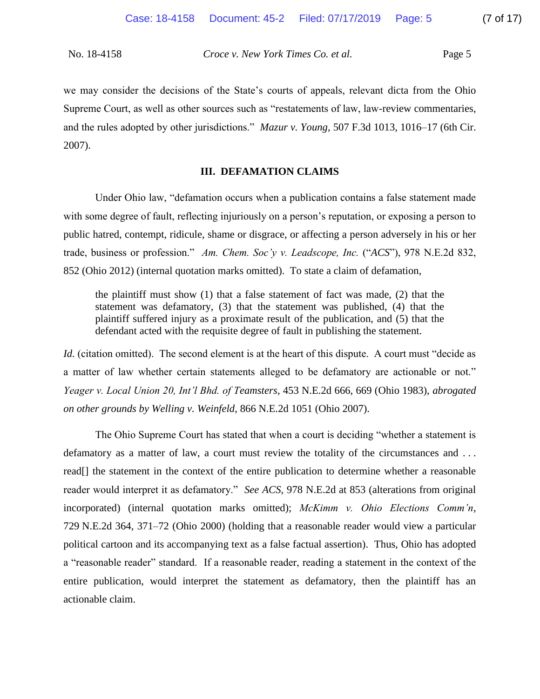we may consider the decisions of the State's courts of appeals, relevant dicta from the Ohio Supreme Court, as well as other sources such as "restatements of law, law-review commentaries, and the rules adopted by other jurisdictions." *Mazur v. Young*, 507 F.3d 1013, 1016–17 (6th Cir. 2007).

### **III. DEFAMATION CLAIMS**

Under Ohio law, "defamation occurs when a publication contains a false statement made with some degree of fault, reflecting injuriously on a person's reputation, or exposing a person to public hatred, contempt, ridicule, shame or disgrace, or affecting a person adversely in his or her trade, business or profession." *Am. Chem. Soc'y v. Leadscope, Inc.* ("*ACS*"), 978 N.E.2d 832, 852 (Ohio 2012) (internal quotation marks omitted). To state a claim of defamation,

the plaintiff must show (1) that a false statement of fact was made, (2) that the statement was defamatory, (3) that the statement was published, (4) that the plaintiff suffered injury as a proximate result of the publication, and (5) that the defendant acted with the requisite degree of fault in publishing the statement.

*Id.* (citation omitted). The second element is at the heart of this dispute. A court must "decide as a matter of law whether certain statements alleged to be defamatory are actionable or not." *Yeager v. Local Union 20, Int'l Bhd. of Teamsters*, 453 N.E.2d 666, 669 (Ohio 1983), *abrogated on other grounds by Welling v. Weinfeld*, 866 N.E.2d 1051 (Ohio 2007).

The Ohio Supreme Court has stated that when a court is deciding "whether a statement is defamatory as a matter of law, a court must review the totality of the circumstances and ... read[] the statement in the context of the entire publication to determine whether a reasonable reader would interpret it as defamatory." *See ACS*, 978 N.E.2d at 853 (alterations from original incorporated) (internal quotation marks omitted); *McKimm v. Ohio Elections Comm'n*, 729 N.E.2d 364, 371–72 (Ohio 2000) (holding that a reasonable reader would view a particular political cartoon and its accompanying text as a false factual assertion). Thus, Ohio has adopted a "reasonable reader" standard. If a reasonable reader, reading a statement in the context of the entire publication, would interpret the statement as defamatory, then the plaintiff has an actionable claim.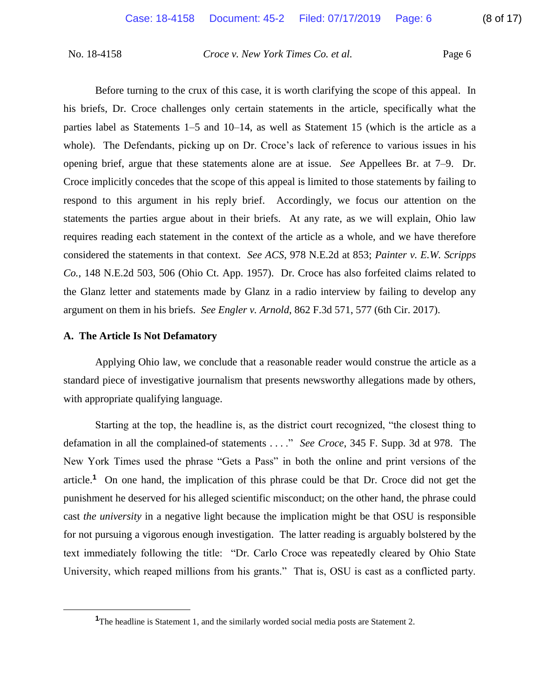Before turning to the crux of this case, it is worth clarifying the scope of this appeal. In his briefs, Dr. Croce challenges only certain statements in the article, specifically what the parties label as Statements 1–5 and 10–14, as well as Statement 15 (which is the article as a whole). The Defendants, picking up on Dr. Croce's lack of reference to various issues in his opening brief, argue that these statements alone are at issue. *See* Appellees Br. at 7–9. Dr. Croce implicitly concedes that the scope of this appeal is limited to those statements by failing to respond to this argument in his reply brief. Accordingly, we focus our attention on the statements the parties argue about in their briefs. At any rate, as we will explain, Ohio law requires reading each statement in the context of the article as a whole, and we have therefore considered the statements in that context. *See ACS*, 978 N.E.2d at 853; *Painter v. E.W. Scripps Co.*, 148 N.E.2d 503, 506 (Ohio Ct. App. 1957). Dr. Croce has also forfeited claims related to the Glanz letter and statements made by Glanz in a radio interview by failing to develop any argument on them in his briefs. *See Engler v. Arnold*, 862 F.3d 571, 577 (6th Cir. 2017).

### **A. The Article Is Not Defamatory**

 $\overline{a}$ 

Applying Ohio law, we conclude that a reasonable reader would construe the article as a standard piece of investigative journalism that presents newsworthy allegations made by others, with appropriate qualifying language.

Starting at the top, the headline is, as the district court recognized, "the closest thing to defamation in all the complained-of statements . . . ." *See Croce*, 345 F. Supp. 3d at 978. The New York Times used the phrase "Gets a Pass" in both the online and print versions of the article.**<sup>1</sup>** On one hand, the implication of this phrase could be that Dr. Croce did not get the punishment he deserved for his alleged scientific misconduct; on the other hand, the phrase could cast *the university* in a negative light because the implication might be that OSU is responsible for not pursuing a vigorous enough investigation. The latter reading is arguably bolstered by the text immediately following the title: "Dr. Carlo Croce was repeatedly cleared by Ohio State University, which reaped millions from his grants." That is, OSU is cast as a conflicted party.

<sup>&</sup>lt;sup>1</sup>The headline is Statement 1, and the similarly worded social media posts are Statement 2.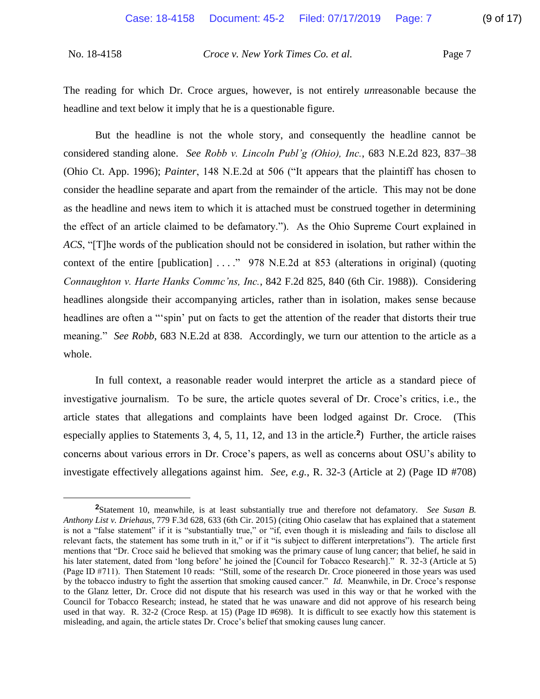$\overline{a}$ 

No. 18-4158 *Croce v. New York Times Co. et al.* Page 7

The reading for which Dr. Croce argues, however, is not entirely *un*reasonable because the headline and text below it imply that he is a questionable figure.

But the headline is not the whole story, and consequently the headline cannot be considered standing alone. *See Robb v. Lincoln Publ'g (Ohio), Inc.*, 683 N.E.2d 823, 837–38 (Ohio Ct. App. 1996); *Painter*, 148 N.E.2d at 506 ("It appears that the plaintiff has chosen to consider the headline separate and apart from the remainder of the article. This may not be done as the headline and news item to which it is attached must be construed together in determining the effect of an article claimed to be defamatory."). As the Ohio Supreme Court explained in *ACS*, "[T]he words of the publication should not be considered in isolation, but rather within the context of the entire [publication] . . . ." 978 N.E.2d at 853 (alterations in original) (quoting *Connaughton v. Harte Hanks Commc'ns, Inc.*, 842 F.2d 825, 840 (6th Cir. 1988)). Considering headlines alongside their accompanying articles, rather than in isolation, makes sense because headlines are often a "'spin' put on facts to get the attention of the reader that distorts their true meaning." *See Robb*, 683 N.E.2d at 838. Accordingly, we turn our attention to the article as a whole.

In full context, a reasonable reader would interpret the article as a standard piece of investigative journalism. To be sure, the article quotes several of Dr. Croce's critics, i.e., the article states that allegations and complaints have been lodged against Dr. Croce. (This especially applies to Statements 3, 4, 5, 11, 12, and 13 in the article.**<sup>2</sup>** ) Further, the article raises concerns about various errors in Dr. Croce's papers, as well as concerns about OSU's ability to investigate effectively allegations against him. *See, e.g.*, R. 32-3 (Article at 2) (Page ID #708)

**<sup>2</sup>**Statement 10, meanwhile, is at least substantially true and therefore not defamatory. *See Susan B. Anthony List v. Driehaus*, 779 F.3d 628, 633 (6th Cir. 2015) (citing Ohio caselaw that has explained that a statement is not a "false statement" if it is "substantially true," or "if, even though it is misleading and fails to disclose all relevant facts, the statement has some truth in it," or if it "is subject to different interpretations"). The article first mentions that "Dr. Croce said he believed that smoking was the primary cause of lung cancer; that belief, he said in his later statement, dated from 'long before' he joined the [Council for Tobacco Research]." R. 32-3 (Article at 5) (Page ID #711). Then Statement 10 reads: "Still, some of the research Dr. Croce pioneered in those years was used by the tobacco industry to fight the assertion that smoking caused cancer." *Id.* Meanwhile, in Dr. Croce's response to the Glanz letter, Dr. Croce did not dispute that his research was used in this way or that he worked with the Council for Tobacco Research; instead, he stated that he was unaware and did not approve of his research being used in that way. R. 32-2 (Croce Resp. at 15) (Page ID #698). It is difficult to see exactly how this statement is misleading, and again, the article states Dr. Croce's belief that smoking causes lung cancer.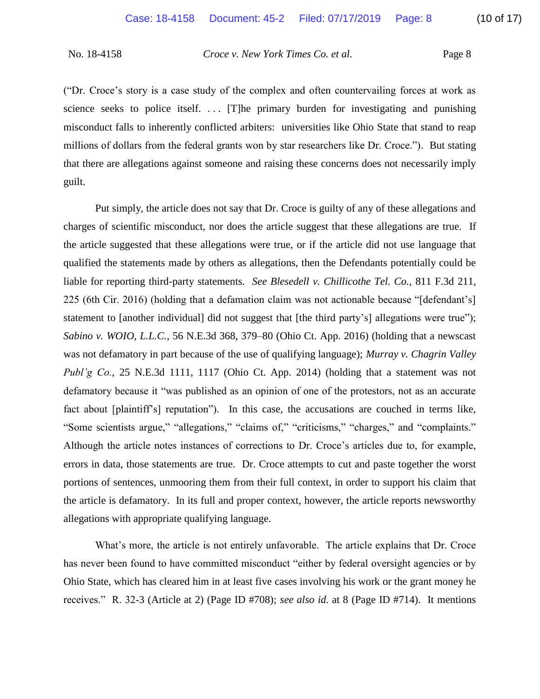("Dr. Croce's story is a case study of the complex and often countervailing forces at work as science seeks to police itself. ... [T]he primary burden for investigating and punishing misconduct falls to inherently conflicted arbiters: universities like Ohio State that stand to reap millions of dollars from the federal grants won by star researchers like Dr. Croce."). But stating that there are allegations against someone and raising these concerns does not necessarily imply guilt.

Put simply, the article does not say that Dr. Croce is guilty of any of these allegations and charges of scientific misconduct, nor does the article suggest that these allegations are true. If the article suggested that these allegations were true, or if the article did not use language that qualified the statements made by others as allegations, then the Defendants potentially could be liable for reporting third-party statements. *See Blesedell v. Chillicothe Tel. Co.*, 811 F.3d 211, 225 (6th Cir. 2016) (holding that a defamation claim was not actionable because "[defendant's] statement to [another individual] did not suggest that [the third party's] allegations were true"); *Sabino v. WOIO, L.L.C.*, 56 N.E.3d 368, 379–80 (Ohio Ct. App. 2016) (holding that a newscast was not defamatory in part because of the use of qualifying language); *Murray v. Chagrin Valley Publ'g Co.*, 25 N.E.3d 1111, 1117 (Ohio Ct. App. 2014) (holding that a statement was not defamatory because it "was published as an opinion of one of the protestors, not as an accurate fact about [plaintiff's] reputation"). In this case, the accusations are couched in terms like, "Some scientists argue," "allegations," "claims of," "criticisms," "charges," and "complaints." Although the article notes instances of corrections to Dr. Croce's articles due to, for example, errors in data, those statements are true. Dr. Croce attempts to cut and paste together the worst portions of sentences, unmooring them from their full context, in order to support his claim that the article is defamatory. In its full and proper context, however, the article reports newsworthy allegations with appropriate qualifying language.

What's more, the article is not entirely unfavorable. The article explains that Dr. Croce has never been found to have committed misconduct "either by federal oversight agencies or by Ohio State, which has cleared him in at least five cases involving his work or the grant money he receives." R. 32-3 (Article at 2) (Page ID #708); *see also id.* at 8 (Page ID #714). It mentions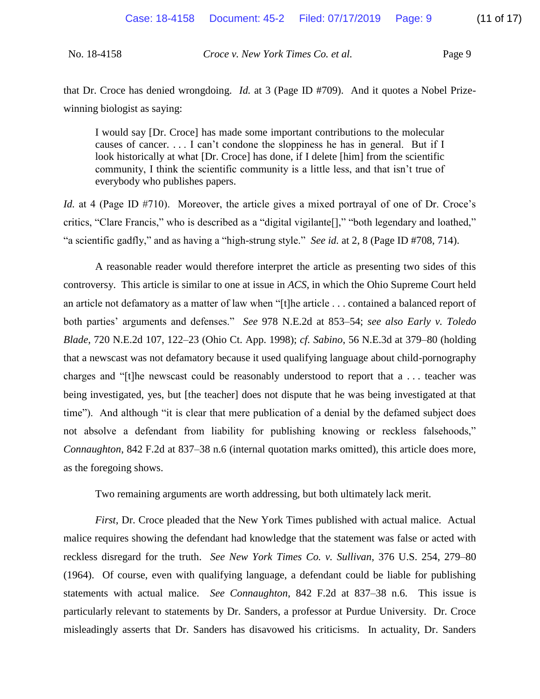| No. 18-4158 | Croce v. New York Times Co. et al. | Page 9 |
|-------------|------------------------------------|--------|
|             |                                    |        |

that Dr. Croce has denied wrongdoing. *Id.* at 3 (Page ID #709). And it quotes a Nobel Prizewinning biologist as saying:

I would say [Dr. Croce] has made some important contributions to the molecular causes of cancer. . . . I can't condone the sloppiness he has in general. But if I look historically at what [Dr. Croce] has done, if I delete [him] from the scientific community, I think the scientific community is a little less, and that isn't true of everybody who publishes papers.

*Id.* at 4 (Page ID #710). Moreover, the article gives a mixed portrayal of one of Dr. Croce's critics, "Clare Francis," who is described as a "digital vigilante[]," "both legendary and loathed," "a scientific gadfly," and as having a "high-strung style." *See id.* at 2, 8 (Page ID #708, 714).

A reasonable reader would therefore interpret the article as presenting two sides of this controversy. This article is similar to one at issue in *ACS*, in which the Ohio Supreme Court held an article not defamatory as a matter of law when "[t]he article . . . contained a balanced report of both parties' arguments and defenses." *See* 978 N.E.2d at 853–54; *see also Early v. Toledo Blade*, 720 N.E.2d 107, 122–23 (Ohio Ct. App. 1998); *cf. Sabino*, 56 N.E.3d at 379–80 (holding that a newscast was not defamatory because it used qualifying language about child-pornography charges and "[t]he newscast could be reasonably understood to report that a . . . teacher was being investigated, yes, but [the teacher] does not dispute that he was being investigated at that time"). And although "it is clear that mere publication of a denial by the defamed subject does not absolve a defendant from liability for publishing knowing or reckless falsehoods," *Connaughton*, 842 F.2d at 837–38 n.6 (internal quotation marks omitted), this article does more, as the foregoing shows.

Two remaining arguments are worth addressing, but both ultimately lack merit.

*First*, Dr. Croce pleaded that the New York Times published with actual malice. Actual malice requires showing the defendant had knowledge that the statement was false or acted with reckless disregard for the truth. *See New York Times Co. v. Sullivan*, 376 U.S. 254, 279–80 (1964). Of course, even with qualifying language, a defendant could be liable for publishing statements with actual malice. *See Connaughton*, 842 F.2d at 837–38 n.6. This issue is particularly relevant to statements by Dr. Sanders, a professor at Purdue University. Dr. Croce misleadingly asserts that Dr. Sanders has disavowed his criticisms. In actuality, Dr. Sanders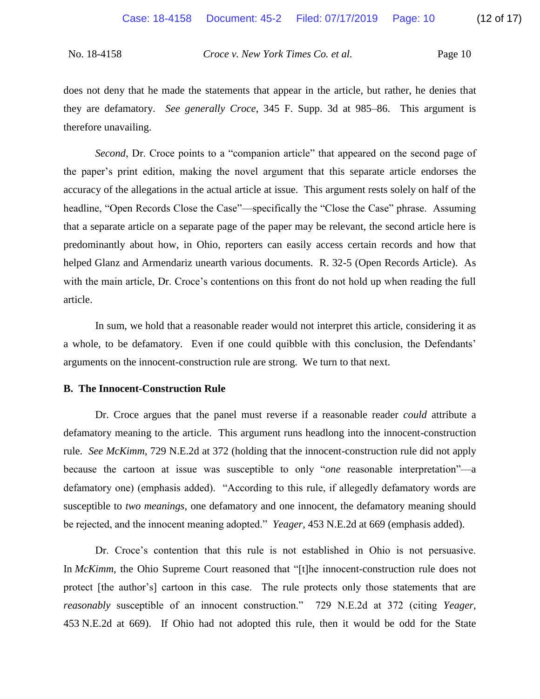does not deny that he made the statements that appear in the article, but rather, he denies that they are defamatory. *See generally Croce*, 345 F. Supp. 3d at 985–86. This argument is therefore unavailing.

*Second*, Dr. Croce points to a "companion article" that appeared on the second page of the paper's print edition, making the novel argument that this separate article endorses the accuracy of the allegations in the actual article at issue. This argument rests solely on half of the headline, "Open Records Close the Case"—specifically the "Close the Case" phrase. Assuming that a separate article on a separate page of the paper may be relevant, the second article here is predominantly about how, in Ohio, reporters can easily access certain records and how that helped Glanz and Armendariz unearth various documents. R. 32-5 (Open Records Article). As with the main article, Dr. Croce's contentions on this front do not hold up when reading the full article.

In sum, we hold that a reasonable reader would not interpret this article, considering it as a whole, to be defamatory. Even if one could quibble with this conclusion, the Defendants' arguments on the innocent-construction rule are strong. We turn to that next.

### **B. The Innocent-Construction Rule**

Dr. Croce argues that the panel must reverse if a reasonable reader *could* attribute a defamatory meaning to the article. This argument runs headlong into the innocent-construction rule. *See McKimm*, 729 N.E.2d at 372 (holding that the innocent-construction rule did not apply because the cartoon at issue was susceptible to only "*one* reasonable interpretation"—a defamatory one) (emphasis added). "According to this rule, if allegedly defamatory words are susceptible to *two meanings*, one defamatory and one innocent, the defamatory meaning should be rejected, and the innocent meaning adopted." *Yeager*, 453 N.E.2d at 669 (emphasis added).

Dr. Croce's contention that this rule is not established in Ohio is not persuasive. In *McKimm*, the Ohio Supreme Court reasoned that "[t]he innocent-construction rule does not protect [the author's] cartoon in this case. The rule protects only those statements that are *reasonably* susceptible of an innocent construction." 729 N.E.2d at 372 (citing *Yeager*, 453 N.E.2d at 669). If Ohio had not adopted this rule, then it would be odd for the State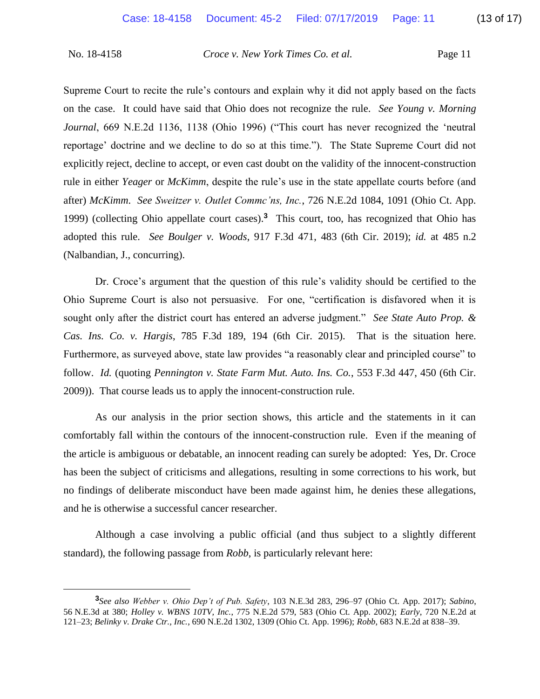$\overline{a}$ 

No. 18-4158 *Croce v. New York Times Co. et al.* Page 11

Supreme Court to recite the rule's contours and explain why it did not apply based on the facts on the case. It could have said that Ohio does not recognize the rule. *See Young v. Morning Journal*, 669 N.E.2d 1136, 1138 (Ohio 1996) ("This court has never recognized the 'neutral reportage' doctrine and we decline to do so at this time."). The State Supreme Court did not explicitly reject, decline to accept, or even cast doubt on the validity of the innocent-construction rule in either *Yeager* or *McKimm*, despite the rule's use in the state appellate courts before (and after) *McKimm*. *See Sweitzer v. Outlet Commc'ns, Inc.*, 726 N.E.2d 1084, 1091 (Ohio Ct. App. 1999) (collecting Ohio appellate court cases).**<sup>3</sup>** This court, too, has recognized that Ohio has adopted this rule. *See Boulger v. Woods*, 917 F.3d 471, 483 (6th Cir. 2019); *id.* at 485 n.2 (Nalbandian, J., concurring).

Dr. Croce's argument that the question of this rule's validity should be certified to the Ohio Supreme Court is also not persuasive. For one, "certification is disfavored when it is sought only after the district court has entered an adverse judgment." *See State Auto Prop. & Cas. Ins. Co. v. Hargis*, 785 F.3d 189, 194 (6th Cir. 2015). That is the situation here. Furthermore, as surveyed above, state law provides "a reasonably clear and principled course" to follow. *Id.* (quoting *Pennington v. State Farm Mut. Auto. Ins. Co.*, 553 F.3d 447, 450 (6th Cir. 2009)). That course leads us to apply the innocent-construction rule.

As our analysis in the prior section shows, this article and the statements in it can comfortably fall within the contours of the innocent-construction rule. Even if the meaning of the article is ambiguous or debatable, an innocent reading can surely be adopted: Yes, Dr. Croce has been the subject of criticisms and allegations, resulting in some corrections to his work, but no findings of deliberate misconduct have been made against him, he denies these allegations, and he is otherwise a successful cancer researcher.

Although a case involving a public official (and thus subject to a slightly different standard), the following passage from *Robb*, is particularly relevant here:

**<sup>3</sup>** *See also Webber v. Ohio Dep't of Pub. Safety*, 103 N.E.3d 283, 296–97 (Ohio Ct. App. 2017); *Sabino*, 56 N.E.3d at 380; *Holley v. WBNS 10TV, Inc.*, 775 N.E.2d 579, 583 (Ohio Ct. App. 2002); *Early*, 720 N.E.2d at 121–23; *Belinky v. Drake Ctr., Inc.*, 690 N.E.2d 1302, 1309 (Ohio Ct. App. 1996); *Robb*, 683 N.E.2d at 838–39.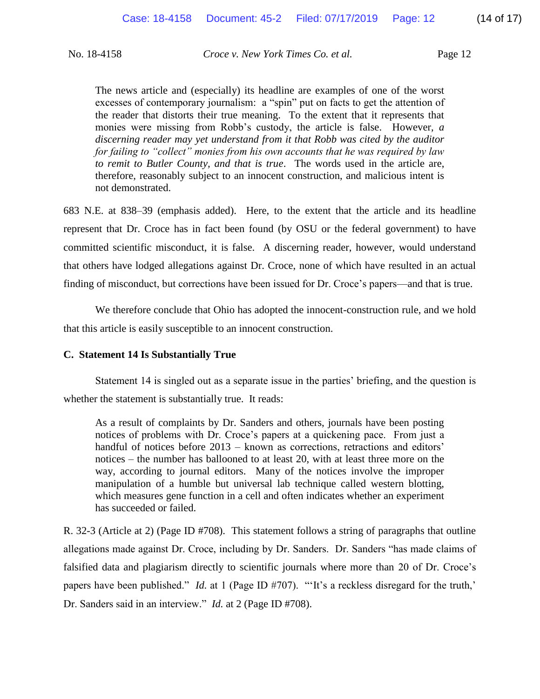The news article and (especially) its headline are examples of one of the worst excesses of contemporary journalism: a "spin" put on facts to get the attention of the reader that distorts their true meaning. To the extent that it represents that monies were missing from Robb's custody, the article is false. However, *a discerning reader may yet understand from it that Robb was cited by the auditor for failing to "collect" monies from his own accounts that he was required by law to remit to Butler County, and that is true*. The words used in the article are, therefore, reasonably subject to an innocent construction, and malicious intent is not demonstrated.

683 N.E. at 838–39 (emphasis added). Here, to the extent that the article and its headline represent that Dr. Croce has in fact been found (by OSU or the federal government) to have committed scientific misconduct, it is false. A discerning reader, however, would understand that others have lodged allegations against Dr. Croce, none of which have resulted in an actual finding of misconduct, but corrections have been issued for Dr. Croce's papers—and that is true.

We therefore conclude that Ohio has adopted the innocent-construction rule, and we hold that this article is easily susceptible to an innocent construction.

### **C. Statement 14 Is Substantially True**

Statement 14 is singled out as a separate issue in the parties' briefing, and the question is whether the statement is substantially true. It reads:

As a result of complaints by Dr. Sanders and others, journals have been posting notices of problems with Dr. Croce's papers at a quickening pace. From just a handful of notices before 2013 – known as corrections, retractions and editors' notices – the number has ballooned to at least 20, with at least three more on the way, according to journal editors. Many of the notices involve the improper manipulation of a humble but universal lab technique called western blotting, which measures gene function in a cell and often indicates whether an experiment has succeeded or failed.

R. 32-3 (Article at 2) (Page ID #708). This statement follows a string of paragraphs that outline allegations made against Dr. Croce, including by Dr. Sanders. Dr. Sanders "has made claims of falsified data and plagiarism directly to scientific journals where more than 20 of Dr. Croce's papers have been published." *Id.* at 1 (Page ID #707). "'It's a reckless disregard for the truth,' Dr. Sanders said in an interview." *Id.* at 2 (Page ID #708).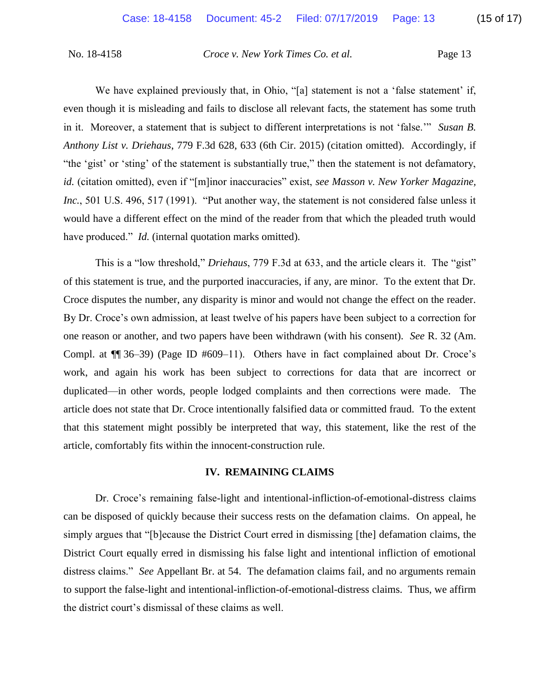We have explained previously that, in Ohio, "[a] statement is not a 'false statement' if, even though it is misleading and fails to disclose all relevant facts, the statement has some truth in it. Moreover, a statement that is subject to different interpretations is not 'false.'" *Susan B. Anthony List v. Driehaus*, 779 F.3d 628, 633 (6th Cir. 2015) (citation omitted). Accordingly, if "the 'gist' or 'sting' of the statement is substantially true," then the statement is not defamatory, *id.* (citation omitted), even if "[m]inor inaccuracies" exist, *see Masson v. New Yorker Magazine, Inc.*, 501 U.S. 496, 517 (1991). "Put another way, the statement is not considered false unless it would have a different effect on the mind of the reader from that which the pleaded truth would have produced." *Id.* (internal quotation marks omitted).

This is a "low threshold," *Driehaus*, 779 F.3d at 633, and the article clears it. The "gist" of this statement is true, and the purported inaccuracies, if any, are minor. To the extent that Dr. Croce disputes the number, any disparity is minor and would not change the effect on the reader. By Dr. Croce's own admission, at least twelve of his papers have been subject to a correction for one reason or another, and two papers have been withdrawn (with his consent). *See* R. 32 (Am. Compl. at ¶¶ 36–39) (Page ID #609–11). Others have in fact complained about Dr. Croce's work, and again his work has been subject to corrections for data that are incorrect or duplicated—in other words, people lodged complaints and then corrections were made. The article does not state that Dr. Croce intentionally falsified data or committed fraud. To the extent that this statement might possibly be interpreted that way, this statement, like the rest of the article, comfortably fits within the innocent-construction rule.

### **IV. REMAINING CLAIMS**

Dr. Croce's remaining false-light and intentional-infliction-of-emotional-distress claims can be disposed of quickly because their success rests on the defamation claims. On appeal, he simply argues that "[b]ecause the District Court erred in dismissing [the] defamation claims, the District Court equally erred in dismissing his false light and intentional infliction of emotional distress claims." *See* Appellant Br. at 54. The defamation claims fail, and no arguments remain to support the false-light and intentional-infliction-of-emotional-distress claims. Thus, we affirm the district court's dismissal of these claims as well.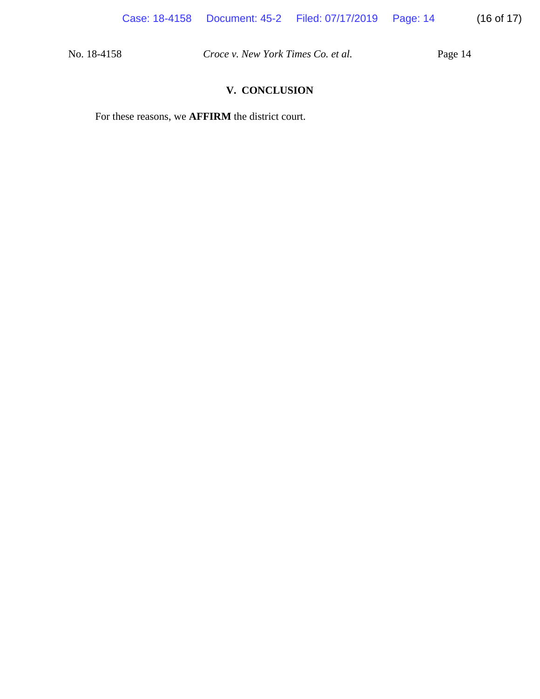## **V. CONCLUSION**

For these reasons, we **AFFIRM** the district court.